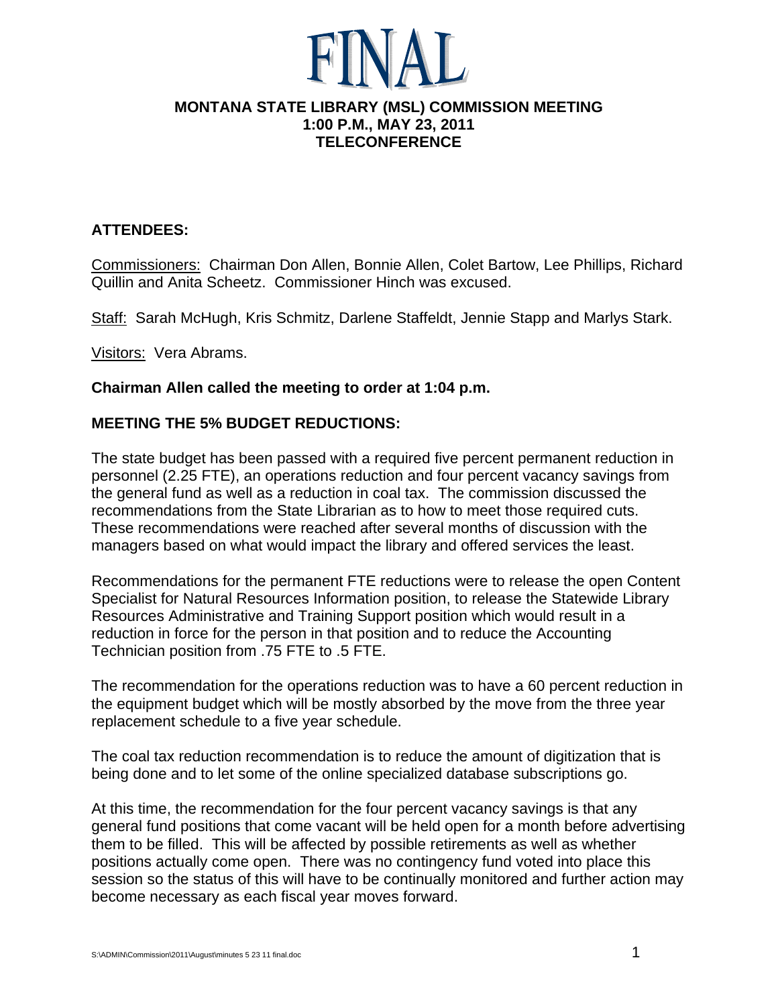

#### **MONTANA STATE LIBRARY (MSL) COMMISSION MEETING 1:00 P.M., MAY 23, 2011 TELECONFERENCE**

# **ATTENDEES:**

Commissioners: Chairman Don Allen, Bonnie Allen, Colet Bartow, Lee Phillips, Richard Quillin and Anita Scheetz. Commissioner Hinch was excused.

Staff: Sarah McHugh, Kris Schmitz, Darlene Staffeldt, Jennie Stapp and Marlys Stark.

Visitors: Vera Abrams.

#### **Chairman Allen called the meeting to order at 1:04 p.m.**

## **MEETING THE 5% BUDGET REDUCTIONS:**

The state budget has been passed with a required five percent permanent reduction in personnel (2.25 FTE), an operations reduction and four percent vacancy savings from the general fund as well as a reduction in coal tax. The commission discussed the recommendations from the State Librarian as to how to meet those required cuts. These recommendations were reached after several months of discussion with the managers based on what would impact the library and offered services the least.

Recommendations for the permanent FTE reductions were to release the open Content Specialist for Natural Resources Information position, to release the Statewide Library Resources Administrative and Training Support position which would result in a reduction in force for the person in that position and to reduce the Accounting Technician position from .75 FTE to .5 FTE.

The recommendation for the operations reduction was to have a 60 percent reduction in the equipment budget which will be mostly absorbed by the move from the three year replacement schedule to a five year schedule.

The coal tax reduction recommendation is to reduce the amount of digitization that is being done and to let some of the online specialized database subscriptions go.

At this time, the recommendation for the four percent vacancy savings is that any general fund positions that come vacant will be held open for a month before advertising them to be filled. This will be affected by possible retirements as well as whether positions actually come open. There was no contingency fund voted into place this session so the status of this will have to be continually monitored and further action may become necessary as each fiscal year moves forward.